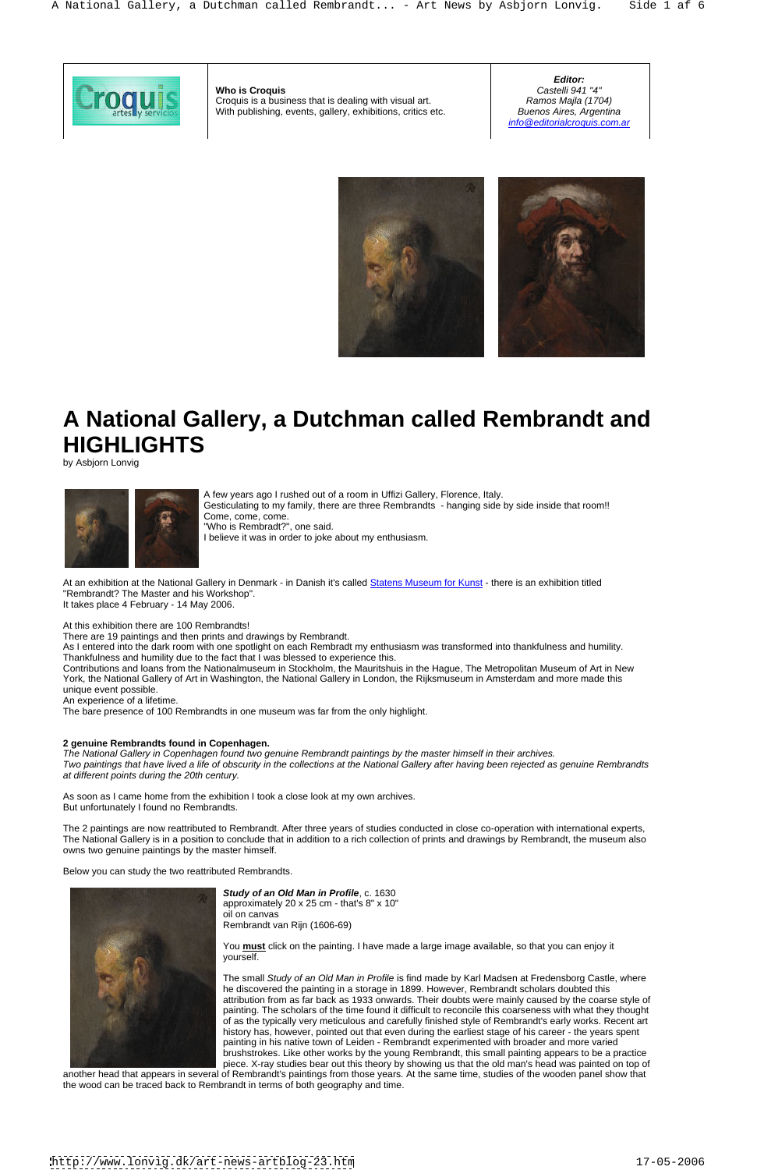# **A National Gallery, a Dutchman called Rembrandt and HIGHLIGHTS**

by Asbjorn Lonvig



A few years ago I rushed out of a room in Uffizi Gallery, Florence, Italy. Gesticulating to my family, there are three Rembrandts - hanging side by side inside that room!! Come, come, come. "Who is Rembradt?", one said. I believe it was in order to joke about my enthusiasm.

There are 19 paintings and then prints and drawings by Rembrandt.<br>As I entered into the dark room with one spotlight on each Rembradt my enthusiasm was transformed into thankfulness and humility. Thankfulness and humility due to the fact that I was blessed to experience this.

At an exhibition at the National Gallery in Denmark - in Danish it's called Statens Museum for Kunst - there is an exhibition titled "Rembrandt? The Master and his Workshop". It takes place 4 February - 14 May 2006.

At this exhibition there are 100 Rembrandts!

Contributions and loans from the Nationalmuseum in Stockholm, the Mauritshuis in the Hague, The Metropolitan Museum of Art in New York, the National Gallery of Art in Washington, the National Gallery in London, the Rijksmuseum in Amsterdam and more made this unique event possible.

An experience of a lifetime.

The bare presence of 100 Rembrandts in one museum was far from the only highlight.

# **2 genuine Rembrandts found in Copenhagen.**

The National Gallery in Copenhagen found two genuine Rembrandt paintings by the master himself in their archives. Two paintings that have lived a life of obscurity in the collections at the National Gallery after having been rejected as genuine Rembrandts at different points during the 20th century.

As soon as I came home from the exhibition I took a close look at my own archives. But unfortunately I found no Rembrandts.

**Who is Croquis** Croquis is a business that is dealing with visual art. With publishing, events, gallery, exhibitions, critics etc. Buenos Aires, Argentina

The 2 paintings are now reattributed to Rembrandt. After three years of studies conducted in close co-operation with international experts, The National Gallery is in a position to conclude that in addition to a rich collection of prints and drawings by Rembrandt, the museum also owns two genuine paintings by the master himself.

Below you can study the two reattributed Rembrandts.



**Study of an Old Man in Profile**, c. 1630 approximately 20 x 25 cm - that's 8" x 10" oil on canvas Rembrandt van Rijn (1606-69)

You **must** click on the painting. I have made a large image available, so that you can enjoy it yourself.

The small Study of an Old Man in Profile is find made by Karl Madsen at Fredensborg Castle, where he discovered the painting in a storage in 1899. However, Rembrandt scholars doubted this attribution from as far back as 1933 onwards. Their doubts were mainly caused by the coarse style of painting. The scholars of the time found it difficult to reconcile this coarseness with what they thought of as the typically very meticulous and carefully finished style of Rembrandt's early works. Recent art history has, however, pointed out that even during the earliest stage of his career - the years spent painting in his native town of Leiden - Rembrandt experimented with broader and more varied brushstrokes. Like other works by the young Rembrandt, this small painting appears to be a practice piece. X-ray studies bear out this theory by showing us that the old man's head was painted on top of

another head that appears in several of Rembrandt's paintings from those years. At the same time, studies of the wooden panel show that the wood can be traced back to Rembrandt in terms of both geography and time.

**Editor:** Castelli 941 "4" Ramos Majla (1704) Buenos Aires, Argentina info@editorialcroquis.com.ar



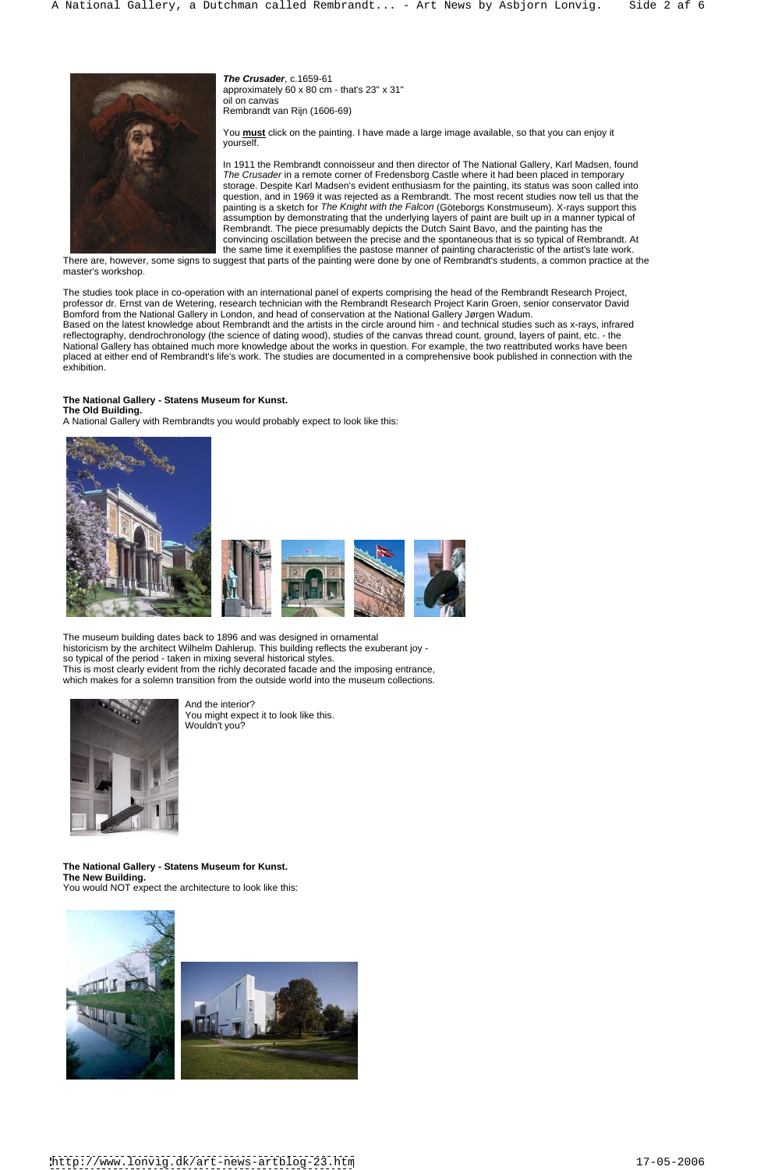

**The Crusader**, c.1659-61 approximately 60 x 80 cm - that's 23" x 31" oil on canvas Rembrandt van Rijn (1606-69)

You **must** click on the painting. I have made a large image available, so that you can enjoy it yourself. yourself.

In 1911 the Rembrandt connoisseur and then director of The National Gallery, Karl Madsen, found The Crusader in a remote corner of Fredensborg Castle where it had been placed in temporary storage. Despite Karl Madsen's evident enthusiasm for the painting, its status was soon called into question, and in 1969 it was rejected as a Rembrandt. The most recent studies now tell us that the painting is a sketch for The Knight with the Falcon (Göteborgs Konstmuseum). X-rays support this assumption by demonstrating that the underlying layers of paint are built up in a manner typical of Rembrandt. The piece presumably depicts the Dutch Saint Bavo, and the painting has the convincing oscillation between the precise and the spontaneous that is so typical of Rembrandt. At the same time it exemplifies the pastose manner of painting characteristic of the artist's late work.

There are, however, some signs to suggest that parts of the painting were done by one of Rembrandt's students, a common practice at the master's workshop.

The studies took place in co-operation with an international panel of experts comprising the head of the Rembrandt Research Project, professor dr. Ernst van de Wetering, research technician with the Rembrandt Research Project Karin Groen, senior conservator David Bomford from the National Gallery in London, and head of conservation at the National Gallery Jørgen Wadum. Based on the latest knowledge about Rembrandt and the artists in the circle around him - and technical studies such as x-rays, infrared reflectography, dendrochronology (the science of dating wood), studies of the canvas thread count, ground, layers of paint, etc. - the National Gallery has obtained much more knowledge about the works in question. For example, the two reattributed works have been placed at either end of Rembrandt's life's work. The studies are documented in a comprehensive book published in connection with the exhibition.

# **The National Gallery - Statens Museum for Kunst.**

**The Old Building.**

A National Gallery with Rembrandts you would probably expect to look like this:



 The museum building dates back to 1896 and was designed in ornamental historicism by the architect Wilhelm Dahlerup. This building reflects the exuberant joy so typical of the period - taken in mixing several historical styles. This is most clearly evident from the richly decorated facade and the imposing entrance, which makes for a solemn transition from the outside world into the museum collections.



And the interior? You might expect it to look like this. Wouldn't you?

# **The National Gallery - Statens Museum for Kunst. The New Building.** You would NOT expect the architecture to look like this:

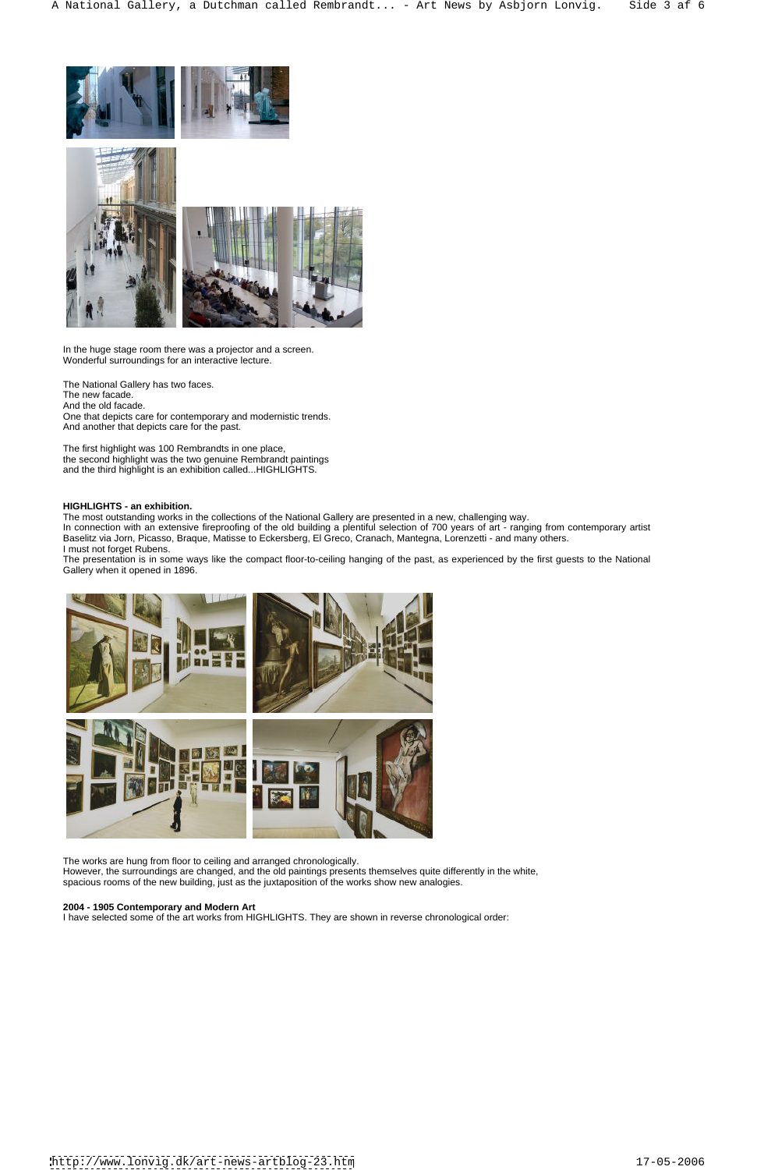



In the huge stage room there was a projector and a screen. Wonderful surroundings for an interactive lecture.

The National Gallery has two faces. The new facade. And the old facade. One that depicts care for contemporary and modernistic trends. And another that depicts care for the past.

The first highlight was 100 Rembrandts in one place, the second highlight was the two genuine Rembrandt paintings and the third highlight is an exhibition called...HIGHLIGHTS.

# **HIGHLIGHTS - an exhibition.**

The most outstanding works in the collections of the National Gallery are presented in a new, challenging way.

In connection with an extensive fireproofing of the old building a plentiful selection of 700 years of art - ranging from contemporary artist Baselitz via Jorn, Picasso, Braque, Matisse to Eckersberg, El Greco, Cranach, Mantegna, Lorenzetti - and many others. I must not forget Rubens.

The presentation is in some ways like the compact floor-to-ceiling hanging of the past, as experienced by the first guests to the National Gallery when it opened in 1896.



The works are hung from floor to ceiling and arranged chronologically. However, the surroundings are changed, and the old paintings presents themselves quite differently in the white, spacious rooms of the new building, just as the juxtaposition of the works show new analogies.

# **2004 - 1905 Contemporary and Modern Art**

I have selected some of the art works from HIGHLIGHTS. They are shown in reverse chronological order: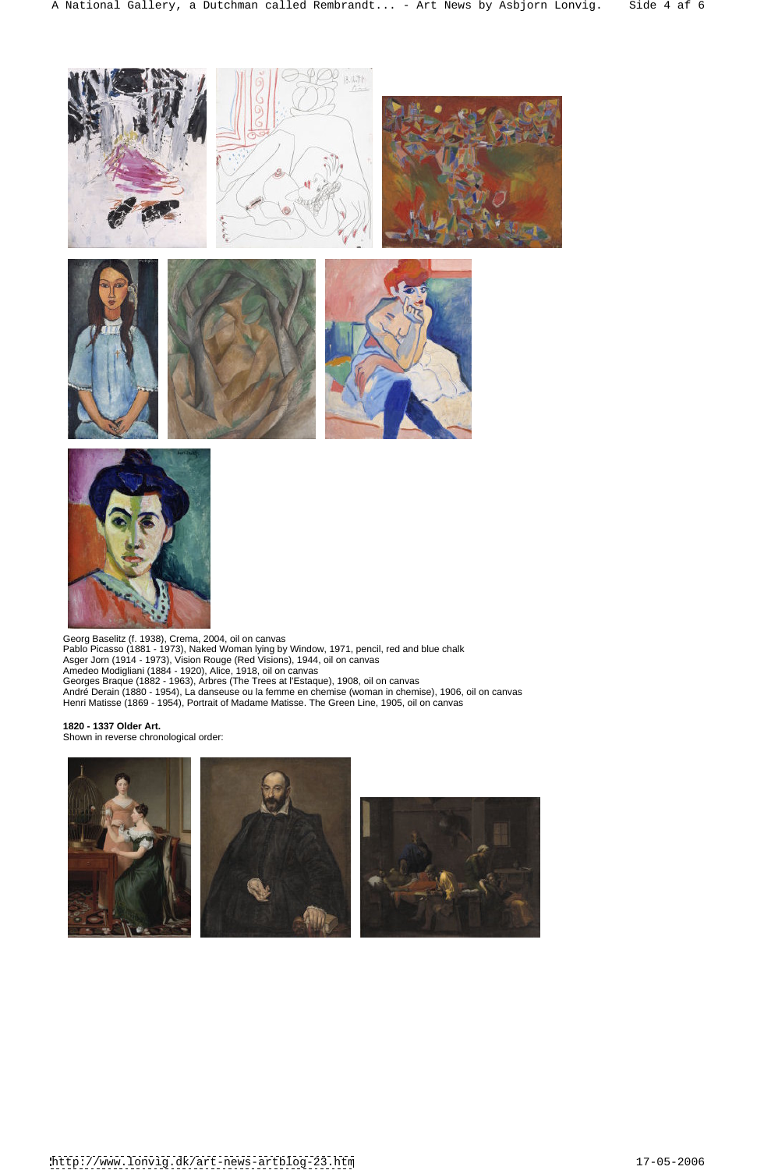



Pablo Picasso (1881 - 1973), Naked Woman lying by Window, 1971, pencil, red and blue chalk Asger Jorn (1914 - 1973), Vision Rouge (Red Visions), 1944, oil on canvas Amedeo Modigliani (1884 - 1920), Alice, 1918, oil on canvas Georges Braque (1882 - 1963), Arbres (The Trees at l'Estaque), 1908, oil on canvas André Derain (1880 - 1954), La danseuse ou la femme en chemise (woman in chemise), 1906, oil on canvas Henri Matisse (1869 - 1954), Portrait of Madame Matisse. The Green Line, 1905, oil on canvas

**1820 - 1337 Older Art.** Shown in reverse chronological order:

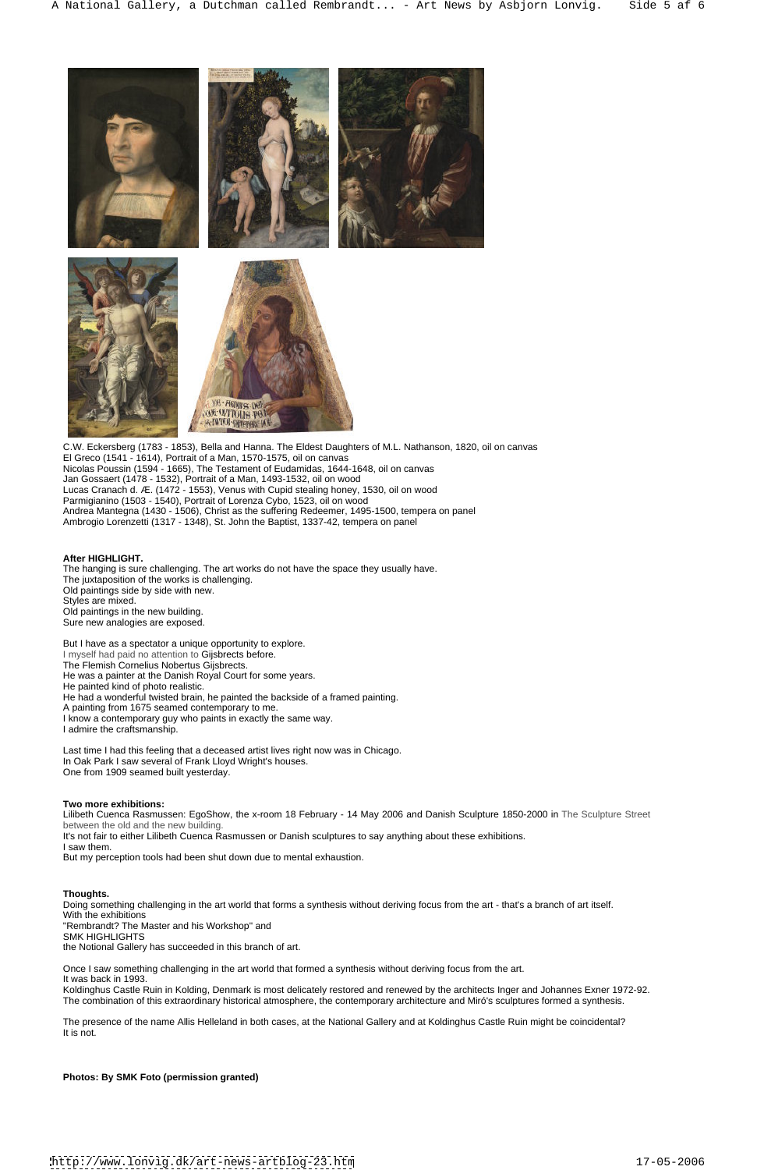

C.W. Eckersberg (1783 - 1853), Bella and Hanna. The Eldest Daughters of M.L. Nathanson, 1820, oil on canvas El Greco (1541 - 1614), Portrait of a Man, 1570-1575, oil on canvas Nicolas Poussin (1594 - 1665), The Testament of Eudamidas, 1644-1648, oil on canvas Jan Gossaert (1478 - 1532), Portrait of a Man, 1493-1532, oil on wood Lucas Cranach d. Æ. (1472 - 1553), Venus with Cupid stealing honey, 1530, oil on wood Parmigianino (1503 - 1540), Portrait of Lorenza Cybo, 1523, oil on wood Andrea Mantegna (1430 - 1506), Christ as the suffering Redeemer, 1495-1500, tempera on panel Ambrogio Lorenzetti (1317 - 1348), St. John the Baptist, 1337-42, tempera on panel

# **After HIGHLIGHT.**

The hanging is sure challenging. The art works do not have the space they usually have. The juxtaposition of the works is challenging. Old paintings side by side with new. Styles are mixed. Old paintings in the new building. Sure new analogies are exposed.

Once I saw something challenging in the art world that formed a synthesis without deriving focus from the art. It was back in 1993.<br>Koldinghus Castle Ruin in Kolding. Denmark is most delicately restored and renewed by the architects Inger and Johannes Exner 1972-92. The combination of this extraordinary historical atmosphere, the contemporary architecture and Miró's sculptures formed a synthesis.

But I have as a spectator a unique opportunity to explore. I myself had paid no attention to Gijsbrects before. The Flemish Cornelius Nobertus Gijsbrects. He was a painter at the Danish Royal Court for some years. He painted kind of photo realistic. He had a wonderful twisted brain, he painted the backside of a framed painting. A painting from 1675 seamed contemporary to me. I know a contemporary guy who paints in exactly the same way. I admire the craftsmanship.

Last time I had this feeling that a deceased artist lives right now was in Chicago. In Oak Park I saw several of Frank Lloyd Wright's houses. One from 1909 seamed built yesterday.

# **Two more exhibitions:**

Lilibeth Cuenca Rasmussen: EgoShow, the x-room 18 February - 14 May 2006 and Danish Sculpture 1850-2000 in The Sculpture Street between the old and the new building.

It's not fair to either Lilibeth Cuenca Rasmussen or Danish sculptures to say anything about these exhibitions.

I saw them. The contract of the contract of the contract of the contract of the contract of the contract of the contract of the contract of the contract of the contract of the contract of the contract of the contract of th

But my perception tools had been shut down due to mental exhaustion.

#### **Thoughts.**

Doing something challenging in the art world that forms a synthesis without deriving focus from the art - that's a branch of art itself. With the exhibitions "Rembrandt? The Master and his Workshop" and SMK HIGHLIGHTS the Notional Gallery has succeeded in this branch of art.

The presence of the name Allis Helleland in both cases, at the National Gallery and at Koldinghus Castle Ruin might be coincidental? It is not.

**Photos: By SMK Foto (permission granted)**